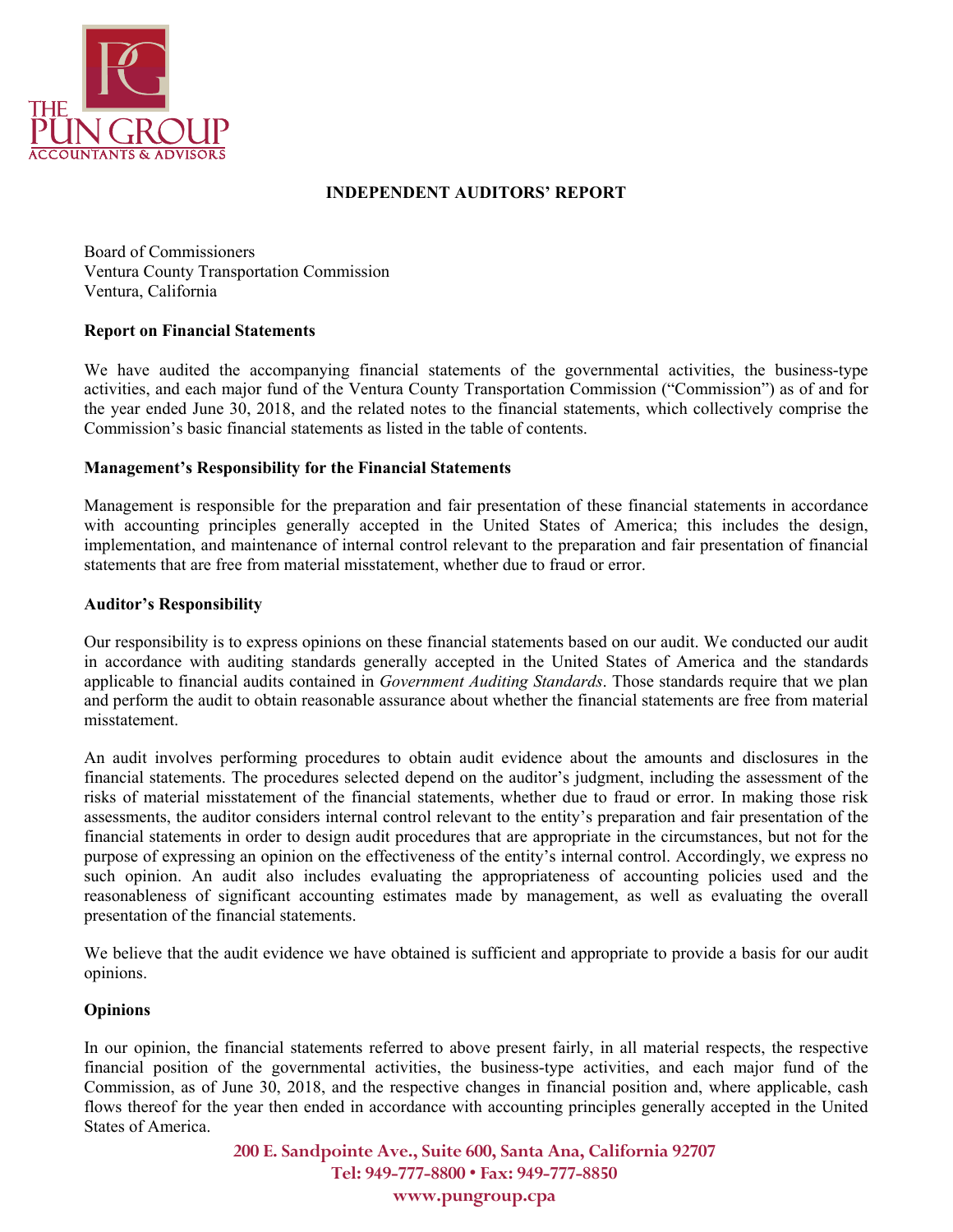

## **INDEPENDENT AUDITORS' REPORT**

Board of Commissioners Ventura County Transportation Commission Ventura, California

### **Report on Financial Statements**

We have audited the accompanying financial statements of the governmental activities, the business-type activities, and each major fund of the Ventura County Transportation Commission ("Commission") as of and for the year ended June 30, 2018, and the related notes to the financial statements, which collectively comprise the Commission's basic financial statements as listed in the table of contents.

### **Management's Responsibility for the Financial Statements**

Management is responsible for the preparation and fair presentation of these financial statements in accordance with accounting principles generally accepted in the United States of America; this includes the design, implementation, and maintenance of internal control relevant to the preparation and fair presentation of financial statements that are free from material misstatement, whether due to fraud or error.

#### **Auditor's Responsibility**

Our responsibility is to express opinions on these financial statements based on our audit. We conducted our audit in accordance with auditing standards generally accepted in the United States of America and the standards applicable to financial audits contained in *Government Auditing Standards*. Those standards require that we plan and perform the audit to obtain reasonable assurance about whether the financial statements are free from material misstatement.

An audit involves performing procedures to obtain audit evidence about the amounts and disclosures in the financial statements. The procedures selected depend on the auditor's judgment, including the assessment of the risks of material misstatement of the financial statements, whether due to fraud or error. In making those risk assessments, the auditor considers internal control relevant to the entity's preparation and fair presentation of the financial statements in order to design audit procedures that are appropriate in the circumstances, but not for the purpose of expressing an opinion on the effectiveness of the entity's internal control. Accordingly, we express no such opinion. An audit also includes evaluating the appropriateness of accounting policies used and the reasonableness of significant accounting estimates made by management, as well as evaluating the overall presentation of the financial statements.

We believe that the audit evidence we have obtained is sufficient and appropriate to provide a basis for our audit opinions.

### **Opinions**

In our opinion, the financial statements referred to above present fairly, in all material respects, the respective financial position of the governmental activities, the business-type activities, and each major fund of the Commission, as of June 30, 2018, and the respective changes in financial position and, where applicable, cash flows thereof for the year then ended in accordance with accounting principles generally accepted in the United States of America.

> **200 E. Sandpointe Ave., Suite 600, Santa Ana, California 92707 Tel: 949-777-8800 • Fax: 949-777-8850 www.pungroup.cpa**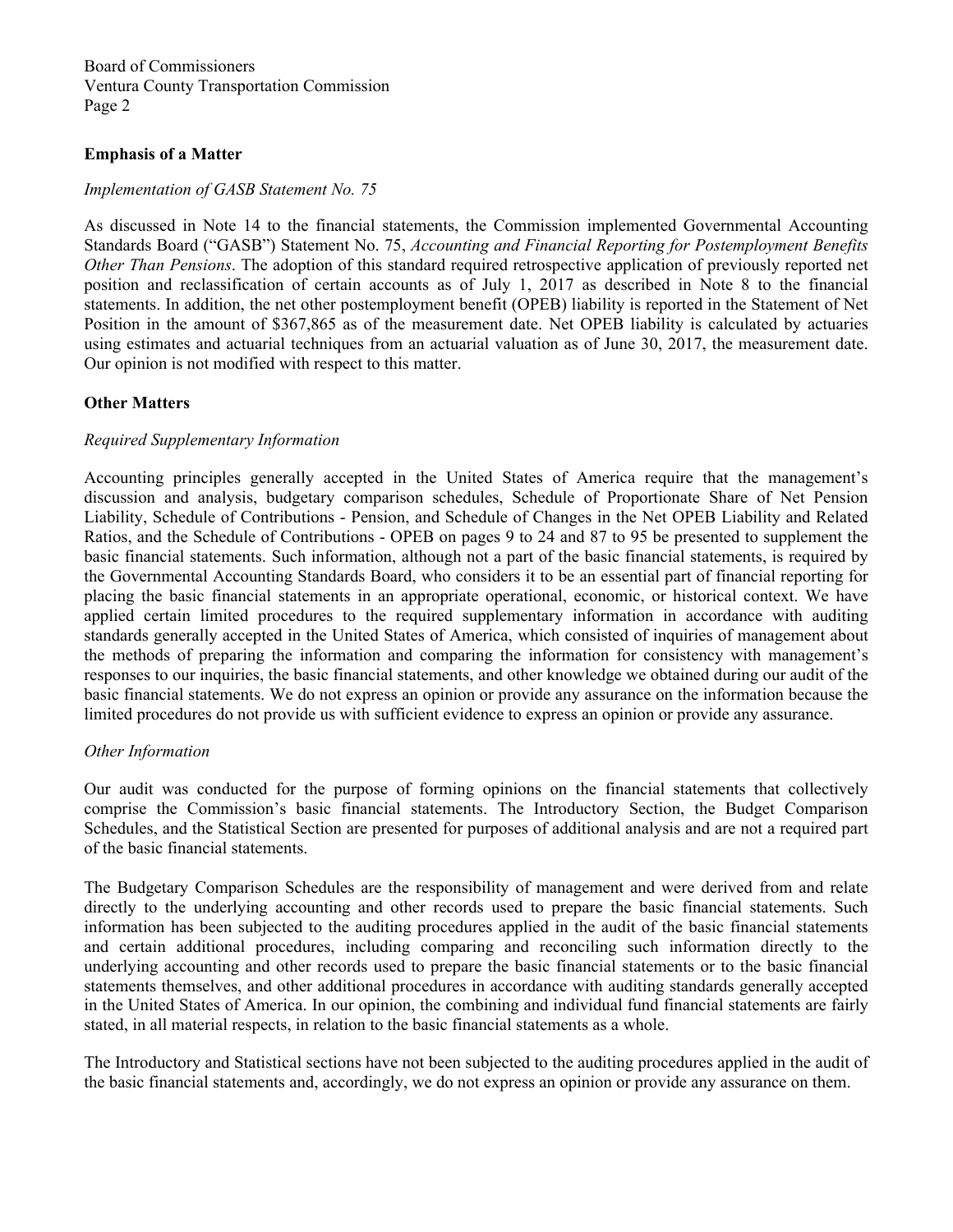Board of Commissioners Ventura County Transportation Commission Page 2

#### **Emphasis of a Matter**

#### *Implementation of GASB Statement No. 75*

As discussed in Note 14 to the financial statements, the Commission implemented Governmental Accounting Standards Board ("GASB") Statement No. 75, *Accounting and Financial Reporting for Postemployment Benefits Other Than Pensions*. The adoption of this standard required retrospective application of previously reported net position and reclassification of certain accounts as of July 1, 2017 as described in Note 8 to the financial statements. In addition, the net other postemployment benefit (OPEB) liability is reported in the Statement of Net Position in the amount of \$367,865 as of the measurement date. Net OPEB liability is calculated by actuaries using estimates and actuarial techniques from an actuarial valuation as of June 30, 2017, the measurement date. Our opinion is not modified with respect to this matter.

#### **Other Matters**

#### *Required Supplementary Information*

Accounting principles generally accepted in the United States of America require that the management's discussion and analysis, budgetary comparison schedules, Schedule of Proportionate Share of Net Pension Liability, Schedule of Contributions - Pension, and Schedule of Changes in the Net OPEB Liability and Related Ratios, and the Schedule of Contributions - OPEB on pages 9 to 24 and 87 to 95 be presented to supplement the basic financial statements. Such information, although not a part of the basic financial statements, is required by the Governmental Accounting Standards Board, who considers it to be an essential part of financial reporting for placing the basic financial statements in an appropriate operational, economic, or historical context. We have applied certain limited procedures to the required supplementary information in accordance with auditing standards generally accepted in the United States of America, which consisted of inquiries of management about the methods of preparing the information and comparing the information for consistency with management's responses to our inquiries, the basic financial statements, and other knowledge we obtained during our audit of the basic financial statements. We do not express an opinion or provide any assurance on the information because the limited procedures do not provide us with sufficient evidence to express an opinion or provide any assurance.

#### *Other Information*

Our audit was conducted for the purpose of forming opinions on the financial statements that collectively comprise the Commission's basic financial statements. The Introductory Section, the Budget Comparison Schedules, and the Statistical Section are presented for purposes of additional analysis and are not a required part of the basic financial statements.

The Budgetary Comparison Schedules are the responsibility of management and were derived from and relate directly to the underlying accounting and other records used to prepare the basic financial statements. Such information has been subjected to the auditing procedures applied in the audit of the basic financial statements and certain additional procedures, including comparing and reconciling such information directly to the underlying accounting and other records used to prepare the basic financial statements or to the basic financial statements themselves, and other additional procedures in accordance with auditing standards generally accepted in the United States of America. In our opinion, the combining and individual fund financial statements are fairly stated, in all material respects, in relation to the basic financial statements as a whole.

The Introductory and Statistical sections have not been subjected to the auditing procedures applied in the audit of the basic financial statements and, accordingly, we do not express an opinion or provide any assurance on them.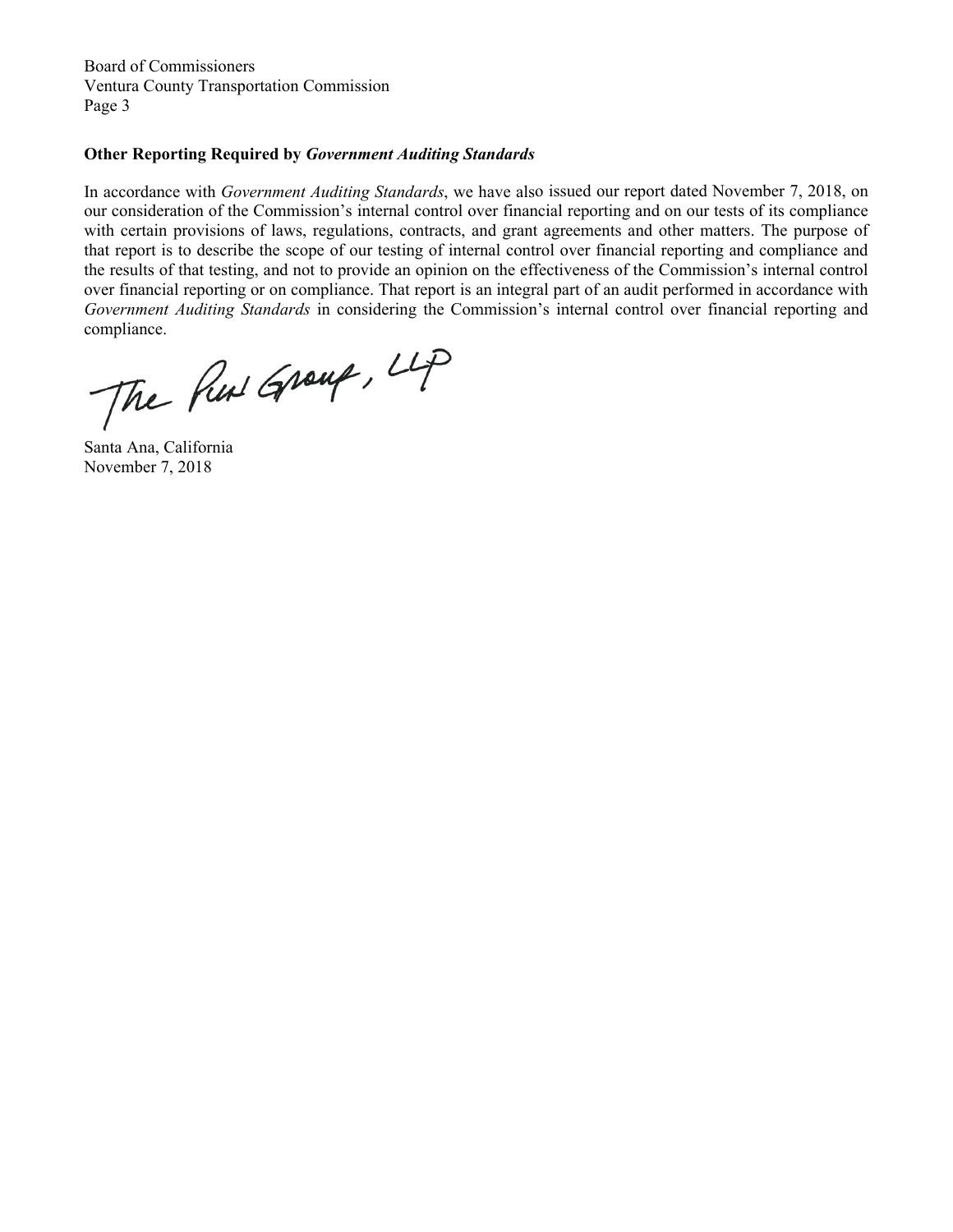Board of Commissioners Ventura County Transportation Commission Page 3

#### **Other Reporting Required by** *Government Auditing Standards*

In accordance with *Government Auditing Standards*, we have also issued our report dated November 7, 2018, on our consideration of the Commission's internal control over financial reporting and on our tests of its compliance with certain provisions of laws, regulations, contracts, and grant agreements and other matters. The purpose of that report is to describe the scope of our testing of internal control over financial reporting and compliance and the results of that testing, and not to provide an opinion on the effectiveness of the Commission's internal control over financial reporting or on compliance. That report is an integral part of an audit performed in accordance with *Government Auditing Standards* in considering the Commission's internal control over financial reporting and

compliance.<br>The Purt Group, LLP

Santa Ana, California November 7, 2018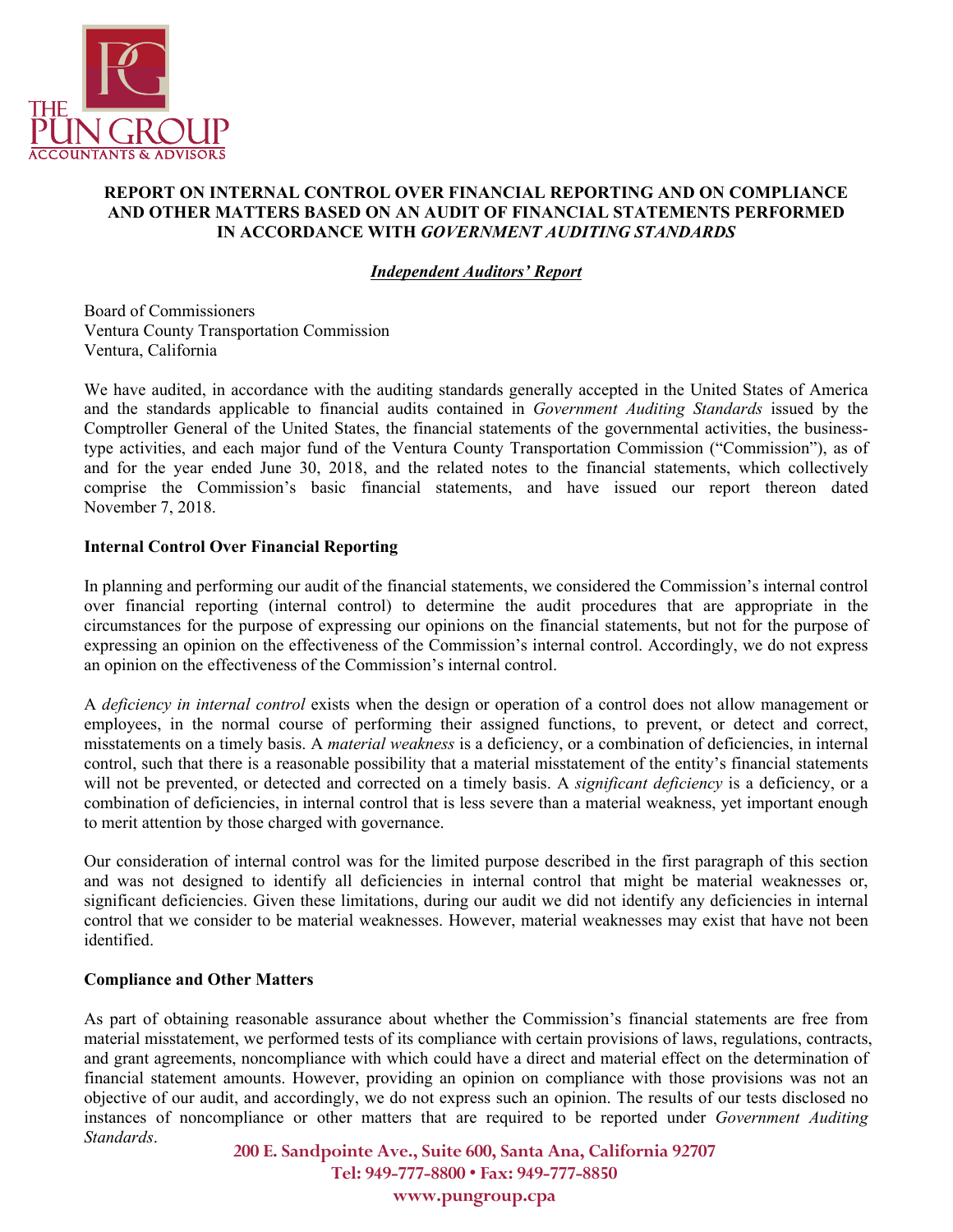

## **REPORT ON INTERNAL CONTROL OVER FINANCIAL REPORTING AND ON COMPLIANCE AND OTHER MATTERS BASED ON AN AUDIT OF FINANCIAL STATEMENTS PERFORMED IN ACCORDANCE WITH** *GOVERNMENT AUDITING STANDARDS*

## *Independent Auditors' Report*

Board of Commissioners Ventura County Transportation Commission Ventura, California

We have audited, in accordance with the auditing standards generally accepted in the United States of America and the standards applicable to financial audits contained in *Government Auditing Standards* issued by the Comptroller General of the United States, the financial statements of the governmental activities, the businesstype activities, and each major fund of the Ventura County Transportation Commission ("Commission"), as of and for the year ended June 30, 2018, and the related notes to the financial statements, which collectively comprise the Commission's basic financial statements, and have issued our report thereon dated November 7, 2018.

### **Internal Control Over Financial Reporting**

In planning and performing our audit of the financial statements, we considered the Commission's internal control over financial reporting (internal control) to determine the audit procedures that are appropriate in the circumstances for the purpose of expressing our opinions on the financial statements, but not for the purpose of expressing an opinion on the effectiveness of the Commission's internal control. Accordingly, we do not express an opinion on the effectiveness of the Commission's internal control.

A *deficiency in internal control* exists when the design or operation of a control does not allow management or employees, in the normal course of performing their assigned functions, to prevent, or detect and correct, misstatements on a timely basis. A *material weakness* is a deficiency, or a combination of deficiencies, in internal control, such that there is a reasonable possibility that a material misstatement of the entity's financial statements will not be prevented, or detected and corrected on a timely basis. A *significant deficiency* is a deficiency, or a combination of deficiencies, in internal control that is less severe than a material weakness, yet important enough to merit attention by those charged with governance.

Our consideration of internal control was for the limited purpose described in the first paragraph of this section and was not designed to identify all deficiencies in internal control that might be material weaknesses or, significant deficiencies. Given these limitations, during our audit we did not identify any deficiencies in internal control that we consider to be material weaknesses. However, material weaknesses may exist that have not been identified.

### **Compliance and Other Matters**

As part of obtaining reasonable assurance about whether the Commission's financial statements are free from material misstatement, we performed tests of its compliance with certain provisions of laws, regulations, contracts, and grant agreements, noncompliance with which could have a direct and material effect on the determination of financial statement amounts. However, providing an opinion on compliance with those provisions was not an objective of our audit, and accordingly, we do not express such an opinion. The results of our tests disclosed no instances of noncompliance or other matters that are required to be reported under *Government Auditing Standards*. **<sup>2</sup><sup>00</sup> E. Sandpointe Ave., Suite 600, Santa Ana, California 92707** 

**Tel: 949-777-8800 • Fax: 949-777-8850 www.pungroup.cpa**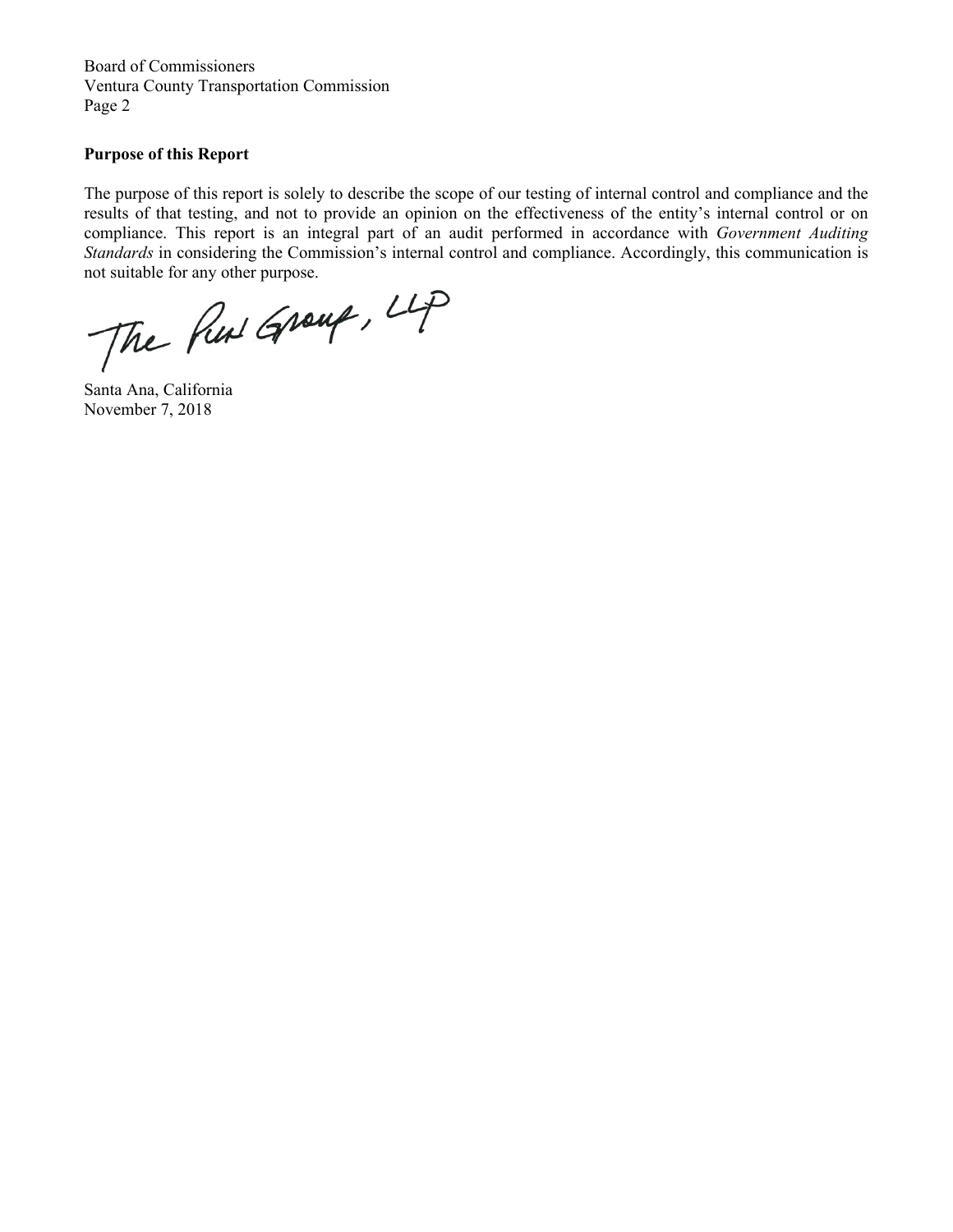Board of Commissioners Ventura County Transportation Commission Page 2

#### **Purpose of this Report**

The purpose of this report is solely to describe the scope of our testing of internal control and compliance and the results of that testing, and not to provide an opinion on the effectiveness of the entity's internal control or on compliance. This report is an integral part of an audit performed in accordance with *Government Auditing Standards* in considering the Commission's internal control and compliance. Accordingly, this communication is

not suitable for any other purpose.<br>The full Group,  $UP$ 

Santa Ana, California November 7, 2018